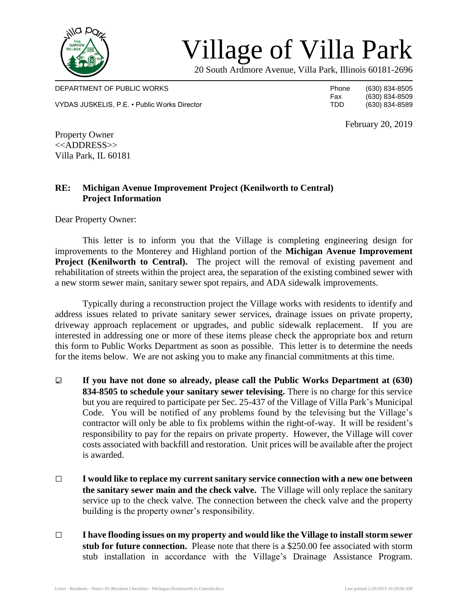

## Village of Villa Park

20 South Ardmore Avenue, Villa Park, Illinois 60181-2696

DEPARTMENT OF PUBLIC WORKS **Phone** (630) 834-8505 VYDAS JUSKELIS, P.E. • Public Works Director TDD (630) 834-8589

Fax (630) 834-8509<br>TDD (630) 834-8589

February 20, 2019

Property Owner <<ADDRESS>> Villa Park, IL 60181

## **RE: Michigan Avenue Improvement Project (Kenilworth to Central) Project Information**

Dear Property Owner:

This letter is to inform you that the Village is completing engineering design for improvements to the Monterey and Highland portion of the **Michigan Avenue Improvement Project (Kenilworth to Central).** The project will the removal of existing pavement and rehabilitation of streets within the project area, the separation of the existing combined sewer with a new storm sewer main, sanitary sewer spot repairs, and ADA sidewalk improvements.

Typically during a reconstruction project the Village works with residents to identify and address issues related to private sanitary sewer services, drainage issues on private property, driveway approach replacement or upgrades, and public sidewalk replacement. If you are interested in addressing one or more of these items please check the appropriate box and return this form to Public Works Department as soon as possible. This letter is to determine the needs for the items below. We are not asking you to make any financial commitments at this time.

- □ **If you have not done so already, please call the Public Works Department at (630) 834-8505 to schedule your sanitary sewer televising.** There is no charge for this service but you are required to participate per Sec. 25-437 of the Village of Villa Park's Municipal Code. You will be notified of any problems found by the televising but the Village's contractor will only be able to fix problems within the right-of-way. It will be resident's responsibility to pay for the repairs on private property. However, the Village will cover costs associated with backfill and restoration. Unit prices will be available after the project is awarded.
- □ **I would like to replace my current sanitary service connection with a new one between the sanitary sewer main and the check valve.** The Village will only replace the sanitary service up to the check valve. The connection between the check valve and the property building is the property owner's responsibility.
- □ **I have flooding issues on my property and would like the Village to install storm sewer stub for future connection.** Please note that there is a \$250.00 fee associated with storm stub installation in accordance with the Village's Drainage Assistance Program.